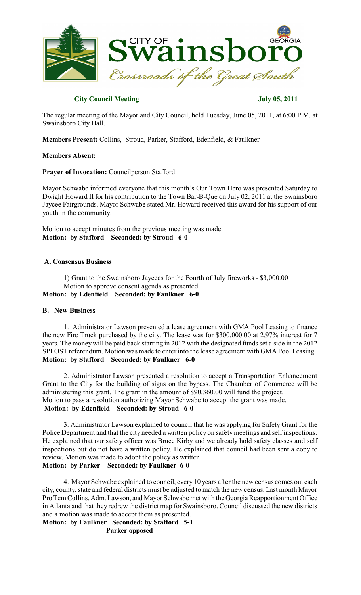

## **City Council Meeting July 05, 2011**

The regular meeting of the Mayor and City Council, held Tuesday, June 05, 2011, at 6:00 P.M. at Swainsboro City Hall.

**Members Present:** Collins, Stroud, Parker, Stafford, Edenfield, & Faulkner

## **Members Absent:**

## **Prayer of Invocation:** Councilperson Stafford

Mayor Schwabe informed everyone that this month's Our Town Hero was presented Saturday to Dwight Howard II for his contribution to the Town Bar-B-Que on July 02, 2011 at the Swainsboro Jaycee Fairgrounds. Mayor Schwabe stated Mr. Howard received this award for his support of our youth in the community.

Motion to accept minutes from the previous meeting was made. **Motion: by Stafford Seconded: by Stroud 6-0**

## **A. Consensus Business**

1) Grant to the Swainsboro Jaycees for the Fourth of July fireworks - \$3,000.00 Motion to approve consent agenda as presented. **Motion: by Edenfield Seconded: by Faulkner 6-0**

## **B. New Business**

1. Administrator Lawson presented a lease agreement with GMA Pool Leasing to finance the new Fire Truck purchased by the city. The lease was for \$300,000.00 at 2.97% interest for 7 years. The money will be paid back starting in 2012 with the designated funds set a side in the 2012 SPLOST referendum. Motion was made to enter into the lease agreement with GMA Pool Leasing. **Motion: by Stafford Seconded: by Faulkner 6-0**

2. Administrator Lawson presented a resolution to accept a Transportation Enhancement Grant to the City for the building of signs on the bypass. The Chamber of Commerce will be administering this grant. The grant in the amount of \$90,360.00 will fund the project. Motion to pass a resolution authorizing Mayor Schwabe to accept the grant was made. **Motion: by Edenfield Seconded: by Stroud 6-0**

3. Administrator Lawson explained to council that he was applying for Safety Grant for the Police Department and that the city needed a written policy on safety meetings and self inspections. He explained that our safety officer was Bruce Kirby and we already hold safety classes and self inspections but do not have a written policy. He explained that council had been sent a copy to review. Motion was made to adopt the policy as written. **Motion: by Parker Seconded: by Faulkner 6-0**

4. Mayor Schwabe explained to council, every 10 years after the new census comes out each city, county, state and federal districts must be adjusted to match the new census. Last month Mayor Pro Tem Collins, Adm. Lawson, and Mayor Schwabe met with the Georgia Reapportionment Office in Atlanta and that they redrew the district map for Swainsboro. Council discussed the new districts and a motion was made to accept them as presented.

**Motion: by Faulkner Seconded: by Stafford 5-1 Parker opposed**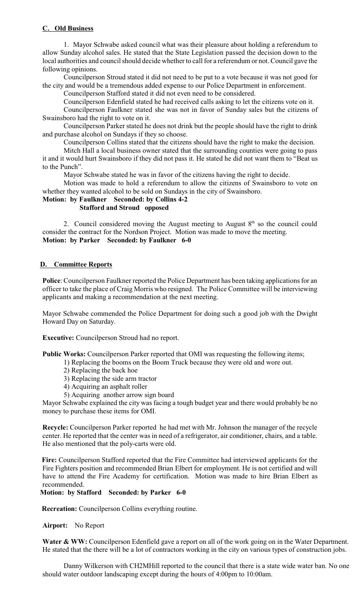# **C. Old Business**

1. Mayor Schwabe asked council what was their pleasure about holding a referendum to allow Sunday alcohol sales. He stated that the State Legislation passed the decision down to the local authorities and council should decide whether to call for a referendum or not. Council gave the following opinions.

Councilperson Stroud stated it did not need to be put to a vote because it was not good for the city and would be a tremendous added expense to our Police Department in enforcement.

Councilperson Stafford stated it did not even need to be considered.

Councilperson Edenfield stated he had received calls asking to let the citizens vote on it.

Councilperson Faulkner stated she was not in favor of Sunday sales but the citizens of Swainsboro had the right to vote on it.

Councilperson Parker stated he does not drink but the people should have the right to drink and purchase alcohol on Sundays if they so choose.

Councilperson Collins stated that the citizens should have the right to make the decision.

Mitch Hall a local business owner stated that the surrounding counties were going to pass it and it would hurt Swainsboro if they did not pass it. He stated he did not want them to "Beat us to the Punch".

Mayor Schwabe stated he was in favor of the citizens having the right to decide.

Motion was made to hold a referendum to allow the citizens of Swainsboro to vote on whether they wanted alcohol to be sold on Sundays in the city of Swainsboro.

# **Motion: by Faulkner Seconded: by Collins 4-2**

## **Stafford and Stroud opposed**

2. Council considered moving the August meeting to August  $8<sup>th</sup>$  so the council could consider the contract for the Nordson Project. Motion was made to move the meeting. **Motion: by Parker Seconded: by Faulkner 6-0**

## **D. Committee Reports**

**Police**: Councilperson Faulkner reported the Police Department has been taking applications for an officer to take the place of Craig Morris who resigned. The Police Committee will be interviewing applicants and making a recommendation at the next meeting.

Mayor Schwabe commended the Police Department for doing such a good job with the Dwight Howard Day on Saturday.

**Executive:** Councilperson Stroud had no report.

**Public Works:** Councilperson Parker reported that OMI was requesting the following items;

- 1) Replacing the booms on the Boom Truck because they were old and wore out.
- 2) Replacing the back hoe
- 3) Replacing the side arm tractor
- 4) Acquiring an asphalt roller
- 5) Acquiring another arrow sign board

Mayor Schwabe explained the city was facing a tough budget year and there would probably be no money to purchase these items for OMI.

**Recycle:** Councilperson Parker reported he had met with Mr. Johnson the manager of the recycle center. He reported that the center was in need of a refrigerator, air conditioner, chairs, and a table. He also mentioned that the poly-carts were old.

 **Fire:** Councilperson Stafford reported that the Fire Committee had interviewed applicants for the Fire Fighters position and recommended Brian Elbert for employment. He is not certified and will have to attend the Fire Academy for certification. Motion was made to hire Brian Elbert as recommended.

## **Motion: by Stafford Seconded: by Parker 6-0**

 **Recreation:** Councilperson Collins everything routine.

## **Airport:** No Report

Water & WW: Councilperson Edenfield gave a report on all of the work going on in the Water Department. He stated that the there will be a lot of contractors working in the city on various types of construction jobs.

Danny Wilkerson with CH2MHill reported to the council that there is a state wide water ban. No one should water outdoor landscaping except during the hours of 4:00pm to 10:00am.